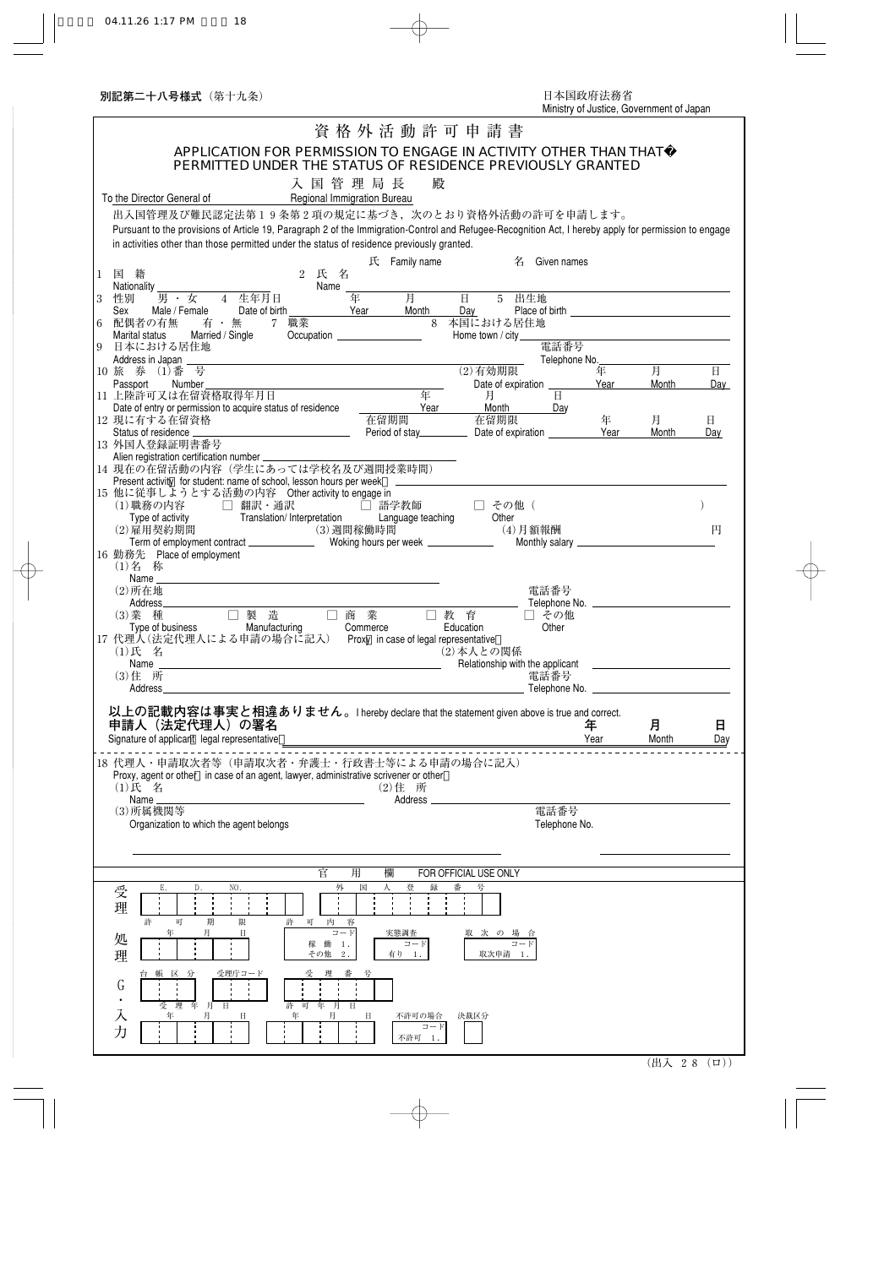| APPLICATION FOR PERMISSION TO ENGAGE IN ACTIVITY OTHER THAN THAT                                                                                                     |               |            |              |
|----------------------------------------------------------------------------------------------------------------------------------------------------------------------|---------------|------------|--------------|
| PERMITTED UNDER THE STATUS OF RESIDENCE PREVIOUSLY GRANTED                                                                                                           |               |            |              |
| 入国管理局長<br>殿<br>To the Director General of                                                                                                                            |               |            |              |
| Regional Immigration Bureau<br>出入国管理及び難民認定法第19条第2項の規定に基づき、次のとおり資格外活動の許可を申請します。                                                                                       |               |            |              |
| Pursuant to the provisions of Article 19, Paragraph 2 of the Immigration-Control and Refugee-Recognition Act, I hereby apply for permission to engage                |               |            |              |
| in activities other than those permitted under the status of residence previously granted.                                                                           |               |            |              |
| 氏 Family name<br>Given names<br>名                                                                                                                                    |               |            |              |
| 国籍<br>$\overline{2}$<br>氏<br>名<br>$\mathbf{1}$<br>Name<br>Nationality                                                                                                |               |            |              |
| 月<br>年<br>$\overline{H}$<br>5 出生地<br>男 · 女 4 生年月日<br>3<br>性別                                                                                                         |               |            |              |
| Year<br>Month<br>Male / Female<br>Date of birth<br>Day<br>Sex<br>7 職業<br>8 本国における居住地<br>配偶者の有無<br>6<br>有・無                                                           |               |            |              |
| Married / Single<br>Occupation <u>__________________</u><br>Home town / city<br>Marital status<br>電話番号                                                               |               |            |              |
| 日本における居住地<br>9<br>Address in Japan                                                                                                                                   | Telephone No. |            |              |
| 10 旅券 (1)番号<br>$(2)$ 有効期限                                                                                                                                            | 年             | 月          | $\mathbf{H}$ |
| Passport<br>Number<br>Date of expiration<br>年<br>11 上陸許可又は在留資格取得年月日<br>$\mathbf{H}$<br>月                                                                             | Year          | Month      | Day          |
| Year<br>Month<br>Date of entry or permission to acquire status of residence<br>Day<br>在留期間<br>12 現に有する在留資格<br>在留期限                                                   | 年             |            |              |
| <u> 1980 - Johann Barn, mars eta bainar eta idazlea (</u><br>Status of residence _<br>Period of stay___________                                                      | Year          | 月<br>Month | 日<br>Day     |
| 13 外国人登録証明書番号                                                                                                                                                        |               |            |              |
| Alien registration certification number _______<br>14 現在の在留活動の内容(学生にあっては学校名及び週間授業時間)                                                                                 |               |            |              |
| Present activity for student: name of school, lesson hours per week<br>15 他に従事しようとする活動の内容 Other activity to engage in                                                |               |            |              |
| (1)職務の内容 □ 翻訳・通訳<br>□ 語学教師<br>□ その他 (                                                                                                                                |               |            |              |
| Translation/ Interpretation<br>職份 > → → → →<br>Type of activity<br>̄ <sup>← ←π </sup> *д ≮⊣ 期 間<br>Language teaching<br>Other<br>(2) 雇用契約期間<br>(3) 週間稼働時間<br>(4)月額報酬 |               |            | 円            |
| ·雇用契約期間             (3) 週間稼働時間<br>Term of employment contract _____________  Woking hours per week _______________                                                   |               |            |              |
| 16 勤務先 Place of employment<br>(1)名 称                                                                                                                                 |               |            |              |
|                                                                                                                                                                      |               |            |              |
| 電話番号<br>$(2)$ 所在地<br>Address_____                                                                                                                                    |               |            |              |
| □ 製 造<br>□ 商 業<br>□ 教育<br>(3) 業種<br>□ その他                                                                                                                            |               |            |              |
| Other<br>Manufacturing<br>Type of business<br>Commerce<br>Education<br>17 代理人 (法定代理人による申請の場合に記入) Proxy in case of legal representative                               |               |            |              |
| (1)氏 名<br>(2) 本人との関係                                                                                                                                                 |               |            |              |
| <u> 1989 - Johann Barbara, martxa a</u><br>Relationship with the applicant<br>Name<br>(3) 住 所<br>電話番号                                                                |               |            |              |
| Address<br>Telephone No.                                                                                                                                             |               |            |              |
|                                                                                                                                                                      |               |            |              |
|                                                                                                                                                                      |               |            |              |
| 以上の記載内容は事実と相違ありません。I hereby declare that the statement given above is true and correct.<br>申請人(法定代理人)の署名                                                             | 年             | 月          | 日            |
| Signature of applicant legal representative<br><u> 1980 - Johann Barn, mars ann an t-Amhain Aonaich an t-Aonaich an t-Aonaich ann an t-Aonaich ann an t-Aonaich</u>  | Year          | Month      | Day          |
| 18 代理人・申請取次者等(申請取次者・弁護士・行政書士等による申請の場合に記入)                                                                                                                            |               |            |              |
| Proxy, agent or other in case of an agent, lawyer, administrative scrivener or other                                                                                 |               |            |              |
| $(1)$ 氏 名<br>(2)住 所<br>Name<br>Address                                                                                                                               |               |            |              |
| (3) 所属機関等<br>電話番号                                                                                                                                                    |               |            |              |
| Organization to which the agent belongs<br>Telephone No.                                                                                                             |               |            |              |
|                                                                                                                                                                      |               |            |              |
| 官<br>用<br>欄<br>FOR OFFICIAL USE ONLY                                                                                                                                 |               |            |              |
| 番<br>NO.<br>外<br>国<br>録<br>号<br>D.<br>受                                                                                                                              |               |            |              |
| 理                                                                                                                                                                    |               |            |              |
| 可<br>許<br>期<br>限<br>可<br>内<br>許<br>容<br>$7 - K$<br>年<br>月<br>実態調査<br>Ħ<br>取 次 の 場 合                                                                                  |               |            |              |
| 処<br>コード<br>稼 働<br>コード<br>1.<br>その他<br>有り<br>取次申請 1.<br>$2$ .<br>-1.                                                                                                 |               |            |              |
| 理<br>区<br>受理庁コード<br>分                                                                                                                                                |               |            |              |
| G                                                                                                                                                                    |               |            |              |
| $\bullet$<br>年<br>受<br>理<br>月<br>可<br>年<br>$\Box$<br>許<br>月                                                                                                          |               |            |              |
| 入<br>不許可の場合<br>決裁区分<br>年<br>$2 - F$<br>力<br>不許可 1.                                                                                                                   |               |            |              |